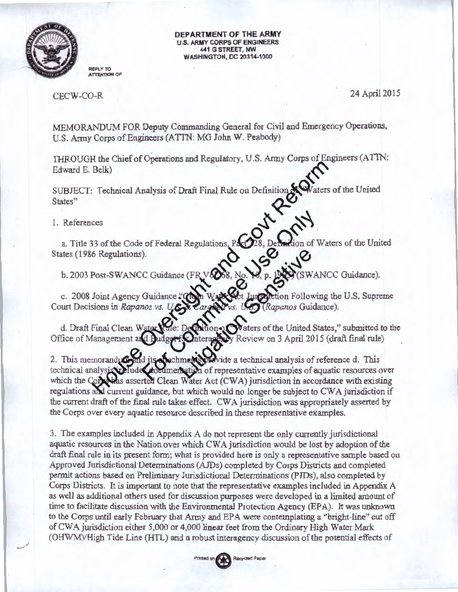

DEPARTMENT OF THE ARMY U.S. ARMY CORPS OF ENGINEERS <sup>1</sup>G STREET, NW **WASHINGTON, DC 20314-1000** 

REP\.'l'TO **ATTENTION OF** 

CECW-CO-R

24 April 2015

MEMORANDUM FOR Deputy Commanding General for Civil and Emergency Operations, U.S. Army Corps of Engineers (A1TN: MG John W. Peabody)

THROUGH the Chief of Operations and Regulatory, U.S. Army Corps of Engineers (ATTN: THROUGH the Chief of Operations and Regulatory, U.S. Army Corps of Engineer Edward E. Belk)

SUBJECT: Technical Analysis of Draft Final Rule on Definition Waters of the United States"

 $\mathcal{L}$  . References

 $\overline{\phantom{a}}$ 

a. Title 33 of the Code of Federal Regulations, Part 28, DeCoron of Waters of the United States (1986 Regulations).  $\delta_{\alpha} \delta_{\beta}$ 

b. 2003 Post-SWANCC Guidance (FR V**OO**8, No. 19, p. 19 (SWANCC Guidance).

c. 2008 Joint Agency Guidance: Chan Ward Het Jurisdetion Following the U.S. Supreme Court Decisions in *Rapanos vs. UGS Cargally vs. UGS* (Rapanos Guidance).

d. Draft Final Clean Water Rule: DeChition of Waters of the United States," submitted to the Office of Management and Dudget for Onteractive Review on 3 April 2015 (draft final rule) Review on 3 April 2015 (draft final rule).

2. This memoranduces and its chame which a technical analysis of reference d. This technical analysis of reference d. In of representative examples of aquatic resources over which the Conwas asserted Clean Water Act (CWA) jurisdiction in accordance with existing regulations and current guidance, but which would no longer be subject to CWA jurisdiction if the current draft of the final rule takes effect. CW A jurisdiction was appropriately asserted by the Corps over every aquatic resource described in these representative examples.

3. The examples included in Appendix A do not represent the only currently jurisdictional aquatic resources in the Nation over which CWA jurisdiction would be lost by adoption of the draft final rule in its present form; what is provided here is only a representative sample based on Approved Jurisdictional Determinations (AJDs) completed by Corps Districts and completed permit actions based on Preliminary Jurisdictional Determinations (PJDs), also completed by Corps Districts. It is important to note that the representative examples included in Appendix A as well as additional others used for discussion purposes were developed in a limited amount of time to facilitate discussion with the Environmental Protection Agency (EPA). It was unknown to the Corps until early February that Army and EPA were contemplating a "bright-line" cut off of CWA jurisdiction either 5,000 or 4,000 linear feet from the Ordinary High Water Mark (OHWM)/High Tide Line (HTL) and a robust interagency discussion of the potential effects of

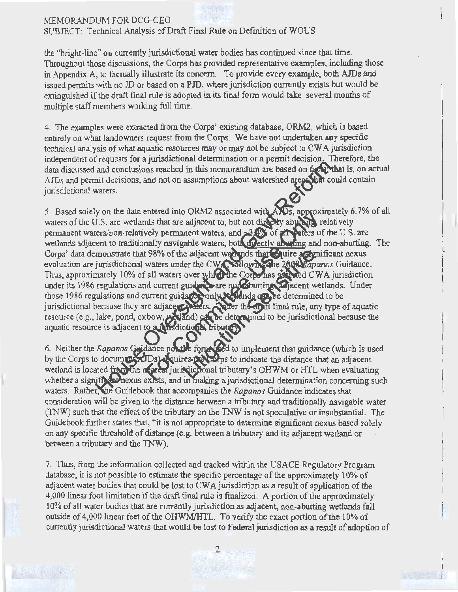## MEMORANDUM FOR DCG-CEO

SUBJECT: Technical Analysis of Draft Final Rule on Definition of WOUS

the "bright-line" on currently jurisdictional water bodies bas continued since that time. Throughout those discussions, the Corps has provided representative examples, including those in Appendix A, to factually illustrate its concern. To provide every example, both AJDs and issued permits with no JD or based on a PJD, where jurisdiction currently exists but would be extinguished if the draft final rule is adopted in its final form would take several months of multiple staff members working full time.

4. The examples were extracted from the Corps' existing database, ORM2, which is based entirely on what landowners request from the Corps. We have not widertaken any specific technical analysis of what aquatic resources may or may not be subject to CW A jurisdiction independent of requests for a jurisdictional determination or a permit decision. Therefore, the data discussed and conclusions reached in this memorandum are based on factor that is, on actual AJDs and permit decisions, and not on assumptions about watershed areas half could contain jurisdictional waters.

5. Based solely on the data entered into ORM2 associated with ANDs, approximately 6.7% of all waters of the U.S. are wetlands that are adjacent to, but not directly abutant relatively permanent waters/non-relatively permanent waters, and 3.4% of all vaters of the U.S. are wetlands adjacent to traditionally navigable waters, both directly abutting and non-abutting. The Corps' data demonstrate that 98% of the adjacent weth nds that Course as equificant nexus evaluation are jurisdictional waters under the *CW Collown Cane 2008 Rapanos* Guidance. Thus, approximately 10% of all waters over which the Corpo has assested CWA jurisdiction Thus, approximately 10% of all waters over which the Corps has assessed CWA jurisdiction<br>under its 1986 regulations and current guidance are not coutting. The parties wetlands. Under those 1986 regulations and current guidance only withinds on be determined to be jurisdictional because they are adjace revealers. Coder the any fill final rule, any type of aquatic jurisdictional because they are adjacent waters. Noter the drink that rule, any type of aquatic<br>resource (e.g., lake, pond, oxbow, postand) can be determined to be jurisdictional because the resource (e.g., lake, pond, oxbow, we dand) can be determined<br>aquatic resource is adjacent to a Junsdictional tributary

6. Neither the *Rapanos* Guidance no the form and to implement that guidance (which is used by the Corps to documents and Ds. Squires. See Seps to indicate the distance that an adjacent wetland is located from the rearest jurisdictional tributary's OHWM or HTL when evaluating whether a significant nexus exists, and in making a jurisdictional determination concerning such waters. Rather, the Guidebook that accompanies the *Rapanos* Guidance indicates that consideration will be given to the distance between a tributary and traditionally navigable water (TNW) such that the effect of the tributary on the TNW is not speculative or insubstantial. The Guidebook further states that, "it is not appropriate to determine significant nexus based solely on any specific threshold of distance (e.g. between a tributary and its adjacent wetland or between a tributary and the 1NW).

7. Thus, from the information collected and tracked within the USACE Regulatory Program database, it is not possible to estimate the specific percentage of the approximately 10% of adjacent water bodies that could be lost to CW A jurisdiction as a result of application of the 4,000 linear foot limitation if the draft final rule is finalized. A portion of the approximately 10% of all water bodies that are currently jurisdiction as adjacent, non-abutting wetlands fall outside of 4,000 linear feet of the OHWM/HTL. To verify the exact portion of the 10% of currently jurisdictional waters that would be lost to Federal jurisdiction as a result of adoption of

2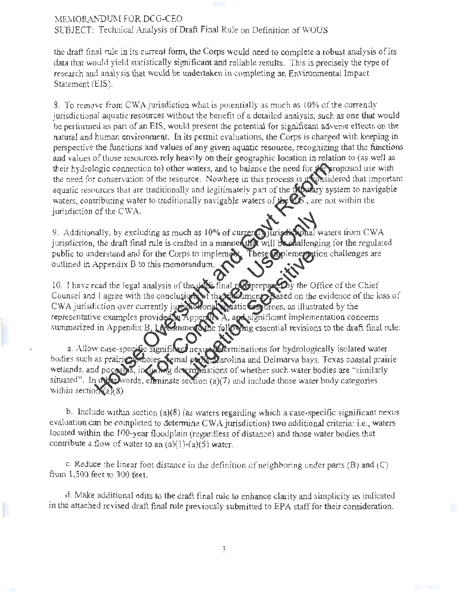# MEMORANDUM FOR DCG-CEO

SUBJECT: Technical Analysis of Draft Final Rule on Definition of WOUS

the draft final rule in its current form, the Corps would need to complete a robust analysis of its data that would vield statistically significant and reliable results. This is precisely the type of research and analysis that would be undertaken in completing an Emironmental Impact Statement (EIS).

8. To remove from CWA jurisdiction what is potentially as much as l 0% of the currently jurisdictional aquatic resources without the benefit of a detailed analysis, such as one that would be performed as part of an EIS, would present the potential for significant adverse effects on the natural and human environment. In its permit evaluations, the Corps is charged with keeping in perspective the functions and values of any given aquatic resource, recognizing that the functions and values of those resources rely heavily on their geographic location in relation to (as well as their hydrologic connection to) other waters, and to balance the need for **Reproposed** use with the need for conservation of the resource. Nowhere in this process is it considered that important aquatic resources that are traditionally and legitimately part of the t**Routary** system to navigable aquatic resources that are traditionally and legitimately part of the t**Noulary system to navi**<br>waters, contributing water to traditionally navigable waters of the **CO**S., are not within the jurisdiction of the CWA.

9. Additionally, by excluding as much as 10% of current furisdictional waters from CWA jurisdiction, the draft final rule is crafted in a manner that will be challenging for the regulated public to understand and for the Corps to implement. These coplements it on challenges are public to understand and for the Corps to implement. These **applementation** challenges are pursonetion, the draft final rule is crared in a manner that will be challengin<br>public to understand and for the Corps to implement. These Oplemention<br>outlined in Appendix B to this memorandum.

10. I have read the legal analysis of the deep final recoprepancibly the Office of the Chief Counsel and I agree with the conclusion of that Counsel and he evidence of the k **Counsel Counsel and the conclusion the evidence of the loss of** CWA jurisdiction over currently jurisdictional squatic Contraces, as illustrated by the representative examples provided in Appendix A, and significant implementation con  $x_1$  Appentix A, and significant implementation concerns summarized in Appendix B. LA mmer whe following essential revisions to the draft final rule:

a. Allow case-specific significant next exterminations for hydrologically isolated water<br>bodies such as prairies anoles temal proxy, Darolina and Delmarva bays, Texas coastal prair bodies such as prairies tholes from post . Darolina and Delmarva bays, Texas coastal prairie<br>wetlands, and pocesins, including determinations of whether such water bodies are "similarly is, in quoting determinations of whether such water bodies are "similarly situated". In order words, eliminate section (a)(7) and include those water body categories within section  $(a)(8)$ .

b. Include within section (a) $(8)$  (as waters regarding which a case-specific significant nexus evaluation can be completed to determine CWA jurisdiction) two additional criteria: i.e., waters located within the 100-year floodplain (regardless of distance) and those water bodies that contribute a flow of water to an  $(a)(1)-(a)(5)$  water.

c. Reduce the linear foot distance in the definition of neighboring under parts  $(B)$  and  $(C)$ from  $1,500$  feet to  $300$  feet.

d. Make additional edits to the draft final rule to enhance clarity and simplicity as indicated in the attached revised draft final rule previously submitted to EPA staff for their consideration.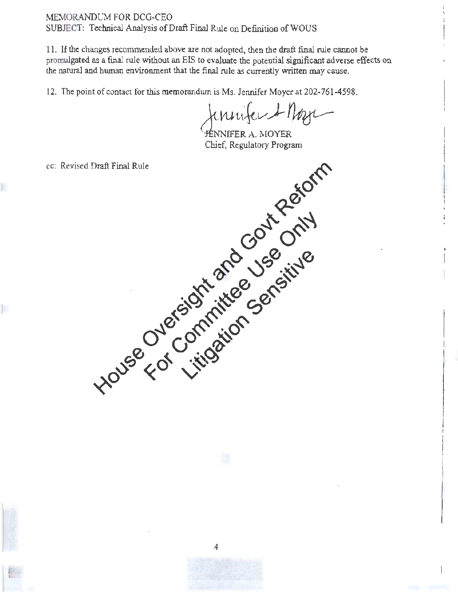MEMORANDUM FOR DCG-CEO SUBJECT: Technical Analysis of Draft Final Rule on Definition of WOUS

11. If the changes recommended above are not adopted, then the draft final rule cannot be promulgated as a final rule without an EIS to evaluate the potential significant adverse effects on the natural and human environment that the final rule as currently written may cause.

12. The point of contact for this memorandum is Ms. Jennifer Moyer at 202-761-4598.

HENNIFER A. MOYER

Chief, Regulatory Program

cc: Revised Draft Final Rule

þ.

Þ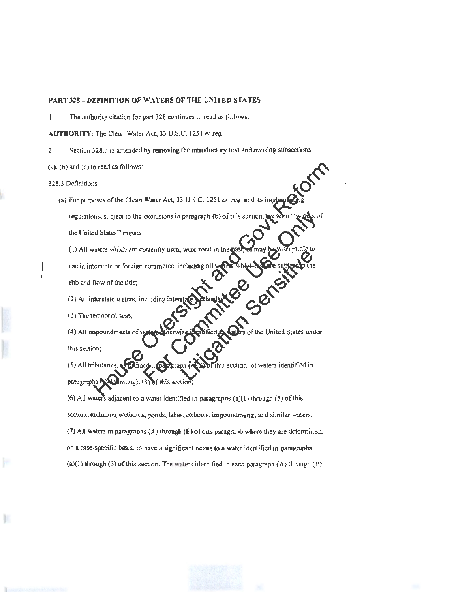#### PART 328 - DEFINITION OF WATERS OF THE UNITED STATES

 $\mathbf{1}$ . The authority citation for part 328 continues to read as follows:

#### AUTHORITY: The Clean Water Act, 33 U.S.C. 1251 et seq.

- Section 328.3 is amended by removing the introductory text and revising subsections  $2.$
- $(a)$ .  $(b)$  and  $(c)$  to read as follows:

328.3 Definitions

- regulations, subject to the exclusions in paragraph (b) of this section, the term "waters"<br>the United States" means:<br>(1) All waters which are currently used (a) For purposes of the Clean Water Act, 33 U.S.C. 1251 et seq. and its impl
	-
	-
- -
	-
	-
- (1) All waters which are currently used, were nsed in the past Command States which are currently used, were nsed in the past Command States explore to use in interstate or foreign commerce, including all we can have been

**Valley (after** (5) All tributaries, his section, of waters identitied in paragraphs NA  $ln$ rough  $(3)$ of this section:

(6) All waters adjacent to a water identified in paragraphs  $(a)(1)$  through  $(5)$  of this section, including wetlands, ponds, lakes, oxbows, impoundments, and similar waters; (7) All waters in paragraphs (A) through (E) of this paragraph where they are determined, on a case-specific basis, to have a significant nexus to a water identified in paragraphs  $(a)(1)$  through (3) of this section. The waters identified in each paragraph (A) through (E)

к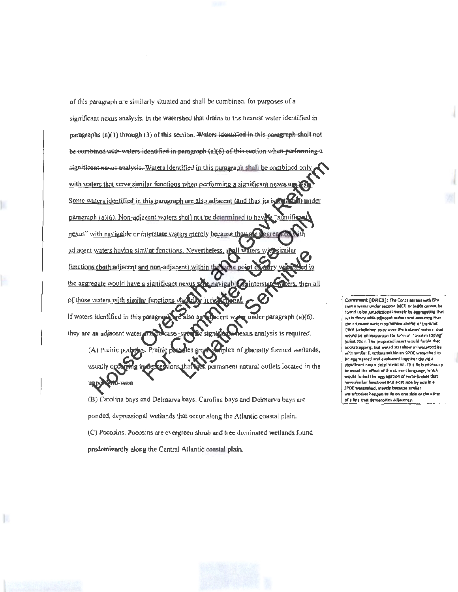of this paragraph are similarly situated and shall be combined, for purposes of a significant nexus analysis, in the watershed that drains to the nearest water identified in paragraphs (a)(1) through (3) of this section. Waters identified in this paragraph shall not be combined with waters identified in paragraph (a)(6) of this section when performing a signitional nexus analysis. Waters identified in this paragraph shall be combined only with waters that serve similar functions when performing a significant nexus are Some waters identified in this paragraph are also adjacent (and thus juris in the 1) under paragraph (a)(6). Non-adjacent waters shall not be determined to have nexus" with navigable or interstate waters merely because they are begre adjacent waters having similar functions. Nevertheless, **Nell waters** wich simila functions (both adjacent and non-adjacent) within ame point d **Th** navigable inte then all the aggregate would have a significant nexus of those waters with similar functio cent wa under paragraph (a)(6). If waters identified in this paragrap hexus analysis is required. they are an adjacent water (A) Prairie potholes. Prairie p lex of glacially formed wetlands, that lack permanent natural outlets located in the usually ogen uppe west (B) Carolina bays and Delmarva bays. Carolina bays and Delmarva bays are

ponded, depressional wetlands that occur along the Atlantic coastal plain. (C) Pocosins. Pocosins are evergreen shrub and tree dominated wetlands found predominantly along the Central Atlantic coastal plain.

ment (DRC1): The Corps market with EPA that a wanar onder section (a)(7) or (a)(8) cannot be found to be surfadictional nearely by aggregating that waterbody with edjacent waters and assiming that the adjacent waters somehow confer or transmit CWA jurisdiction to or over the isolated waters; that ould be en insparapriate form of "boolstrapping" diction. The proposed insert would forbid that bootstrapping, but would still allow all waterbodies with smiler furnitions within an SPOE watershed to be aggregated and evaluated together during a denticant nexus determination. This fix is necessary to avoid the effect of the current language, which would forbid the aggregation of waterbodies that have similar functions and aidst side by side in a SPOE watershed, merely because sit waterbodies happen to lie on one side or of a line that demarcates adjacency.

к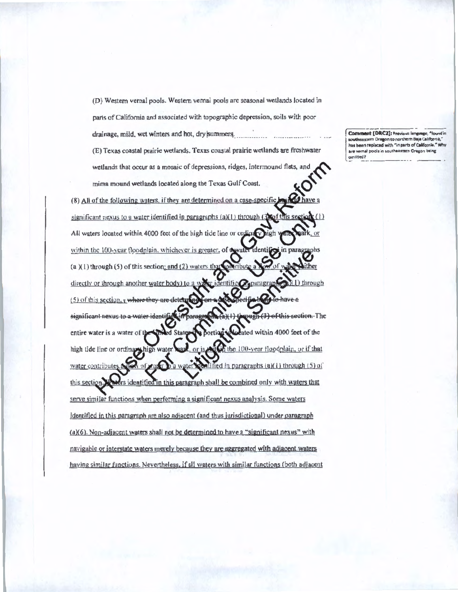(D) Western vernal pools. Western vernal pools are seasonal wetlands located in parts of California and associated with topographic depression, soils with poor drainage, mild, wet winters and hot, dry summers.

(E) Texas coastal prairie wetlands. Texas coastal prairie wetlands are freshwater wetlands that occur as a mosaic of depressions, ridges, intermound flats, and mima mound wetlands located along the Texas Gulf Coast.

(8) All of the following waters, if they are determined on a case-specific significant nexus to a water identified in paragraphs  $(a)(1)$  through  $(3)(0)$  this sea All waters located within 4000 feet of the high tide line or ordinary high within the 100-year floodplain, whichever is greater, of a water identife in para that Oneribut (a)(1) through (5) of this section; and (2) waters directly or through another water body) intifier Coparage hrough  $(5)$  of this section. ugh (3) of this section. The significant nexus to a water ident entire water is a water of ated within 4000 feet of the high tide line or ordinary high water the 100-year floodplain, or if that water contributes. ed in paragraphs (a)(1) through (5) of identified in this paragraph shall be combined only with waters that this section. serve similar functions when performing a significant nexus analysis. Some waters identified in this paragraph are also adjacent (and thus jurisdictional) under paragraph (a)(6). Non-adjacent waters shall not be determined to have a "significant nexus" with navigable or interstate waters merely because they are aggregated with adjacent waters having similar functions. Nevertheless, if all waters with similar functions (both adjacent

Comment [DRC2]: Previous lange "feared in heastern Oregon to northern Baja California een replaced with "in parts of California." are vernal pools in southeastern Oregon being amitted?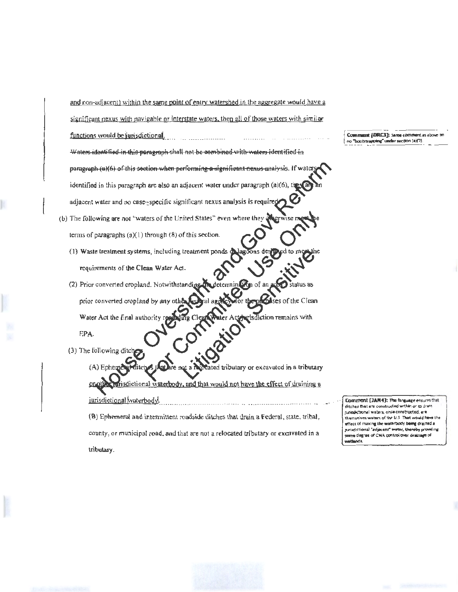

Comment [DRC3]: Same comment as above no "bootstrapping" under section (a)(7).

Comment [JAM4]: The fanguage ensures that ditches that are constructed within or to drain jurisd-cookel waters, once constructed, are themselves waters of the U.S. That would have the effect of making the waterbody being drained a jurisdictional "adjacent" weter, thereby providing me degree of CWA control over drainage of vetlands.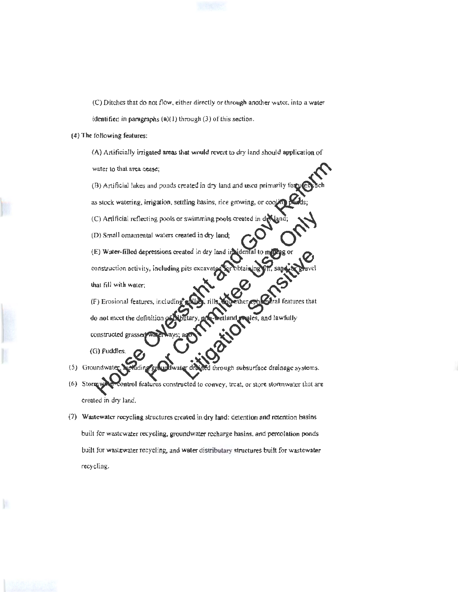

(C) Ditches that do not flow, either directly or through another water. into a water

identified in paragraphs  $(a)(1)$  through  $(3)$  of this section.

- (4) The following features:
	- (A) Artificially irrigated areas that would revert to dry land should application of water to that area cease;
	- (B) Artificial lakes and ponds created in dry land and used primarily for  $\circledast$
	- as stock watering, irrigation, settling basins, rice growing, or coo,
	- (C) Artificial reflecting pools or swimming pools created in  $d_0$
	- (D) Small omamental waters created in dry land;
	- (E) Water-filled depressions created in dry land in identity to  $\omega$
	- construction activity, including pits excavate of obtaining in, sand is called that fill with water;<br>example of the contract of the contract of the contract of the contract of the contract of the contract of the contract of the contract of the contract of the contract of the contract of the contract
	-
	- (F) Erosional features, including a like, rills, who other photoletal features that do not meet the definition of thutary, not well and reales, and lawfully constructed grasse constructed grassed on a ways: and a way of the constructed grassed on a way of the constructed grassed on a way of the construction of the construction of the construction of the construction of the construction of the co
	-
- (5) Groundwater, heritding groundwater drained through subsurface drainage systems.
- (6) Storm were control features constructed to convey, treat, or store stormwater that are created in dry land.
- (7) Wastewatcr recycling structures created in dry land: detention and retention basins built for wastewater recycling, groundwater recharge basins, and percolation ponds built for wastewater recycling, and water distributary structures built for wastewater recycling.

JI.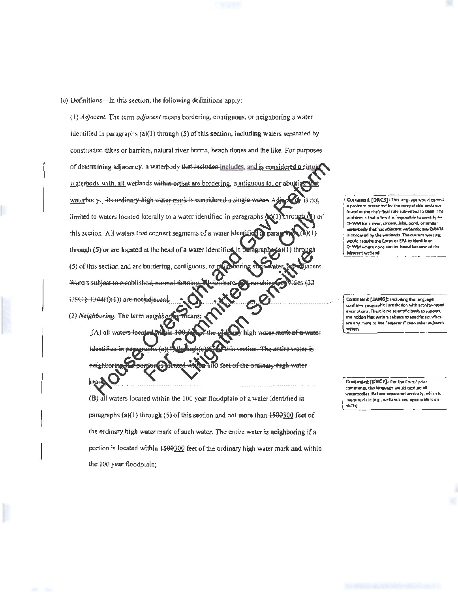(c) Definitions—In this section, the following definitions apply:



the ordinary high water mark of such water. The entire water is neighboring if a portion is located within 1500300 feet of the ordinary high water mark and within the 100 year floodplain;

Comment [DRCS]: This language would correct a problem presented by the comparable sentence. found in the draft final rule submitted to OMB. The m is that often it is 'mpossible to identify an proble .<br>OHVM for a river, stream, lake, pond, or rimlla raterbody that has adjacent wedands; any CHWM is obscured by the wedands. The current word could require the Corps or EPA to identify an OHWM where none can be fo cent wetland.

Comment [1AM6]: including this ienguage conflates geographic jurisdiction with activity-based exemptions. There is no screptific besit to support. the notion that welcos subject to specific activities. are any more or less "adjacent" than other adjacent waters.

Comment [DRC7]: Per the Corps' prior comments, this language would capture all waterbodies that are reporated vertically, which is inappropriate (e.g., wetlands and open waters on bluffall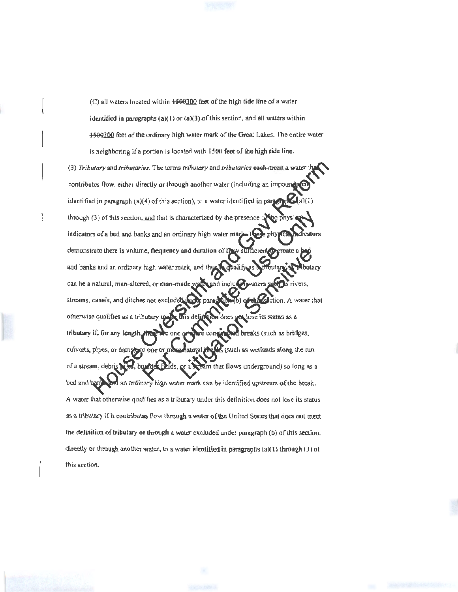$(C)$  all waters located within  $1500300$  feet of the high tide line of a water identified in paragraphs (a)(1) or (a)(3) of this section, and all waters within 4500300 feet of the ordinary high water mark of the Great Lakes. The entire water is neighboring if a portion is located with 1500 feet of the high tide line.

(3) Tributary and tributaries. The terms tributary and tributaries each mean a water t contributes flow, either directly or through another water (including an impound) ei identified in paragraph  $(a)(4)$  of this section), to a water identified in paragraph through (3) of this section, and that is characterized by the presence of the physic indicators of a bed and banks and an ordinary high water mark. These phy calors **ACE** demonstrate there is volume, frequency and duration of the sufficient of create a and banks and an ordinary high water mark, and thus **A** qualify as butary can be a natural, man-altered, or man-made wa exand inclu os waters k rivers. stetion. A water that streams, canals, and ditches not exclude pare otherwise qualifies as a tributary r fhis de lose its status as a tributary if, for any length breaks (such as bridges, culverts, pipes, or damager one or mo (such as wetlands along the run Aatural *d* of a stream, debris Nies, bounded Ids Steam that flows underground) so long as a  $or a$ bed and bank m an ordinary high water mark can be identified upstream of the break. A water that otherwise qualifies as a tributary under this definition does not lose its status as a tributary if it contributes flow through a water of the United States that does not meet the definition of tributary or through a water excluded under paragraph (b) of this section, directly or through another water, to a water identified in paragraphs  $(a)(1)$  through  $(3)$  of this section.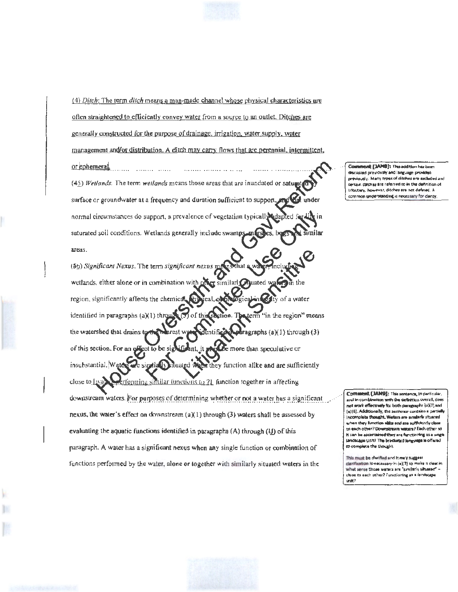(4) Ditch: The term ditch means a man-made channel whose physical characteristics are often straightened to efficiently convey water from a source to an outlet. Ditches are generally constructed for the purpose of drainage, irrigation, water supply, water

management and/or distribution. A ditch may carry flows that are perennial, intermittent,

or ephemeral. (45) Wetlands. The term wetlands means those areas that are inundated or satur surface or groundwater at a frequency and duration sufficient to support. normal circumstances do support, a prevalence of vegetation typically dapted f saturated soil conditions. Wetlands generally include swamps .nG areas.

(56) Significant Nexus. The term significant nexus n wetlands, either alone or in combination with other similarly muated was in **Bo** ity of a water region, significantly affects the chemical "in the region" means identified in paragraphs  $(a)(1)$  through term  $\frac{1}{2}$  and  $\frac{1}{2}$  (a)(1) through (3) the watershed that drains to De more than speculative or of this section. For an effect to be sig e e similado insubstantial. Water they function alike and are sufficiently close to [xva] rforming similar functions to ?1 function together in affecting downstream waters. For purposes of determining whether or not a water has a significant nexus, the water's effect on downstream (a)(1) through (3) waters shall be assessed by evaluating the aquatic functions identified in paragraphs (A) through (4J) of this paragraph. A water has a significant nexus when any single function or combination of functions performed by the water, alone or together with similarly situated waters in the

ent [JAMB]: The addition har be Codiscussed previously and language provide previously. Many types of ditches are excluded and dertain dischas are referred to in the definition of tributary, however, ditches are not defined. A common understanding is necessary for dienty.

Comment [JAM9]: This sentence, In particular, and in combination with the definition overall, does not work effectively for both perugraphs (a)(7) and (a)(8). Additionally, the sentence contains a partially ncomplete thought. Weters are smilerly situated when they function alike and are sufficiently close in each other? Downstream waters? Each other so It can be ascertained they are functioning as a se landscape unit? The bracketed language is offere to complete the thought.

This must be riarified and it my suggest clarification is necessary in (a)(2), on make it clear in crose to each other? Functioning as a landscape  $-27$ 

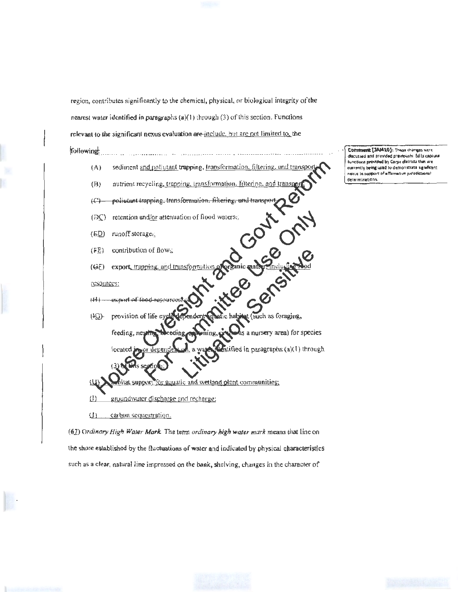region, contributes significantly to the chemical, physical, or biological integrity of the nearest water identified in paragraphs  $(a)(1)$  through  $(3)$  of this section. Functions relevant to the significant nexus evaluation are include, but are not limited to, the

### following:

 $\left(\bigoplus$ 

- sediment and pollutant trapping, transformation, filtering, and transport  $(A)$
- nutrient recycling, trapping, transformation. filtering, and transper  $(B)$
- 
- ( $\Theta$ C) retention und/or attenuation of flood waters.
- $(ED)$
- $(EE)$
- $(GF)$
- resources:

 $+1$ 

- $(1G)$
- export. trapping. and transformation of flow.
	-
- aggatic and wetland plant communities;  $(1)$ groundwater discharge and recharge;

(J) carbon sequestration.

(67) Ordinary High Water Mark. The term ordinary high water mark means that line on the shore established by the fluctuations of water and indicated by physical characteristics such as a clear, natural line impressed on the bank, shelving, changes in the character of

ant ['JAM10]: These changes were Com discussed and provided previously. Edits capium functions provided by Corps districts that are currently being used to demonstrate significant nexus in support of affirmative jurisdictional determinations.